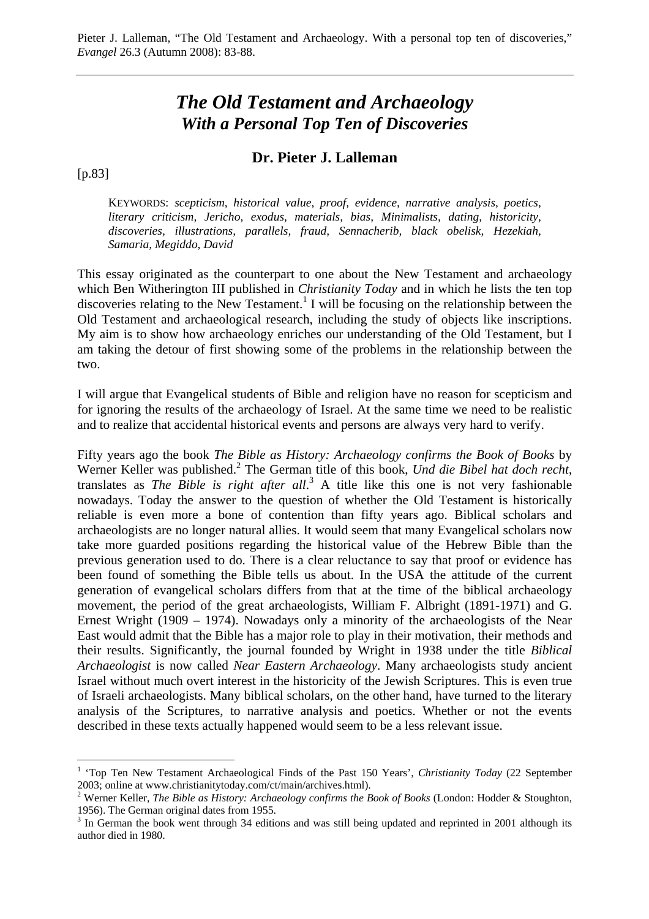# *The Old Testament and Archaeology With a Personal Top Ten of Discoveries*

## **Dr. Pieter J. Lalleman**

[p.83]

 $\overline{a}$ 

KEYWORDS: *scepticism, historical value, proof, evidence, narrative analysis, poetics, literary criticism, Jericho, exodus, materials, bias, Minimalists, dating, historicity, discoveries, illustrations, parallels, fraud, Sennacherib, black obelisk, Hezekiah, Samaria, Megiddo, David*

This essay originated as the counterpart to one about the New Testament and archaeology which Ben Witherington III published in *Christianity Today* and in which he lists the ten top discoveries relating to the New Testament.<sup>1</sup> I will be focusing on the relationship between the Old Testament and archaeological research, including the study of objects like inscriptions. My aim is to show how archaeology enriches our understanding of the Old Testament, but I am taking the detour of first showing some of the problems in the relationship between the two.

I will argue that Evangelical students of Bible and religion have no reason for scepticism and for ignoring the results of the archaeology of Israel. At the same time we need to be realistic and to realize that accidental historical events and persons are always very hard to verify.

Fifty years ago the book *The Bible as History: Archaeology confirms the Book of Books* by Werner Keller was published.<sup>2</sup> The German title of this book, *Und die Bibel hat doch recht*, translates as *The Bible is right after all*. 3 A title like this one is not very fashionable nowadays. Today the answer to the question of whether the Old Testament is historically reliable is even more a bone of contention than fifty years ago. Biblical scholars and archaeologists are no longer natural allies. It would seem that many Evangelical scholars now take more guarded positions regarding the historical value of the Hebrew Bible than the previous generation used to do. There is a clear reluctance to say that proof or evidence has been found of something the Bible tells us about. In the USA the attitude of the current generation of evangelical scholars differs from that at the time of the biblical archaeology movement, the period of the great archaeologists, William F. Albright (1891-1971) and G. Ernest Wright (1909 – 1974). Nowadays only a minority of the archaeologists of the Near East would admit that the Bible has a major role to play in their motivation, their methods and their results. Significantly, the journal founded by Wright in 1938 under the title *Biblical Archaeologist* is now called *Near Eastern Archaeology*. Many archaeologists study ancient Israel without much overt interest in the historicity of the Jewish Scriptures. This is even true of Israeli archaeologists. Many biblical scholars, on the other hand, have turned to the literary analysis of the Scriptures, to narrative analysis and poetics. Whether or not the events described in these texts actually happened would seem to be a less relevant issue.

<sup>&</sup>lt;sup>1</sup> 'Top Ten New Testament Archaeological Finds of the Past 150 Years', *Christianity Today* (22 September 2003; online at [www.christianitytoday.com/ct/main/archives.html\).](http://www.christianitytoday.com/ct/main/archives.html) 

<sup>2</sup> Werner Keller, *The Bible as History: Archaeology confirms the Book of Books* (London: Hodder & Stoughton, 1956). The German original dates from 1955.

<sup>&</sup>lt;sup>3</sup> In German the book went through 34 editions and was still being updated and reprinted in 2001 although its author died in 1980.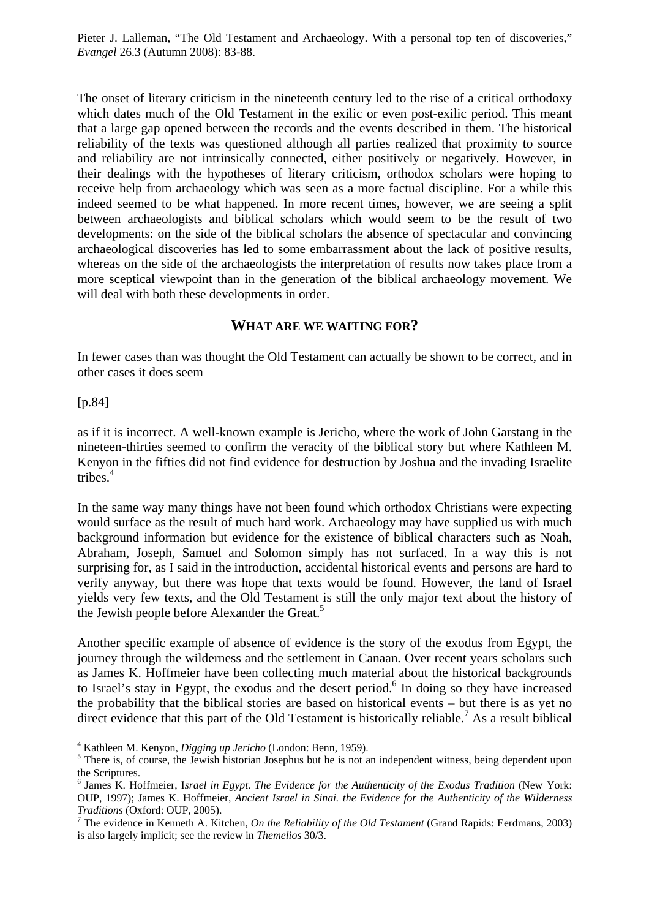The onset of literary criticism in the nineteenth century led to the rise of a critical orthodoxy which dates much of the Old Testament in the exilic or even post-exilic period. This meant that a large gap opened between the records and the events described in them. The historical reliability of the texts was questioned although all parties realized that proximity to source and reliability are not intrinsically connected, either positively or negatively. However, in their dealings with the hypotheses of literary criticism, orthodox scholars were hoping to receive help from archaeology which was seen as a more factual discipline. For a while this indeed seemed to be what happened. In more recent times, however, we are seeing a split between archaeologists and biblical scholars which would seem to be the result of two developments: on the side of the biblical scholars the absence of spectacular and convincing archaeological discoveries has led to some embarrassment about the lack of positive results, whereas on the side of the archaeologists the interpretation of results now takes place from a more sceptical viewpoint than in the generation of the biblical archaeology movement. We will deal with both these developments in order.

#### **WHAT ARE WE WAITING FOR?**

In fewer cases than was thought the Old Testament can actually be shown to be correct, and in other cases it does seem

#### [p.84]

 $\overline{a}$ 

as if it is incorrect. A well-known example is Jericho, where the work of John Garstang in the nineteen-thirties seemed to confirm the veracity of the biblical story but where Kathleen M. Kenyon in the fifties did not find evidence for destruction by Joshua and the invading Israelite tribes. $4$ 

In the same way many things have not been found which orthodox Christians were expecting would surface as the result of much hard work. Archaeology may have supplied us with much background information but evidence for the existence of biblical characters such as Noah, Abraham, Joseph, Samuel and Solomon simply has not surfaced. In a way this is not surprising for, as I said in the introduction, accidental historical events and persons are hard to verify anyway, but there was hope that texts would be found. However, the land of Israel yields very few texts, and the Old Testament is still the only major text about the history of the Jewish people before Alexander the Great.<sup>5</sup>

Another specific example of absence of evidence is the story of the exodus from Egypt, the journey through the wilderness and the settlement in Canaan. Over recent years scholars such as James K. Hoffmeier have been collecting much material about the historical backgrounds to Israel's stay in Egypt, the exodus and the desert period.<sup>6</sup> In doing so they have increased the probability that the biblical stories are based on historical events – but there is as yet no direct evidence that this part of the Old Testament is historically reliable.<sup>7</sup> As a result biblical

<sup>&</sup>lt;sup>4</sup> Kathleen M. Kenyon, *Digging up Jericho* (London: Benn, 1959).

<sup>&</sup>lt;sup>5</sup> There is, of course, the Jewish historian Josephus but he is not an independent witness, being dependent upon the Scriptures.

<sup>6</sup> James K. Hoffmeier, I*srael in Egypt. The Evidence for the Authenticity of the Exodus Tradition* (New York: OUP, 1997); James K. Hoffmeier, *Ancient Israel in Sinai. the Evidence for the Authenticity of the Wilderness Traditions* (Oxford: OUP, 2005).

The evidence in Kenneth A. Kitchen, *On the Reliability of the Old Testament* (Grand Rapids: Eerdmans, 2003) is also largely implicit; see the review in *Themelios* 30/3.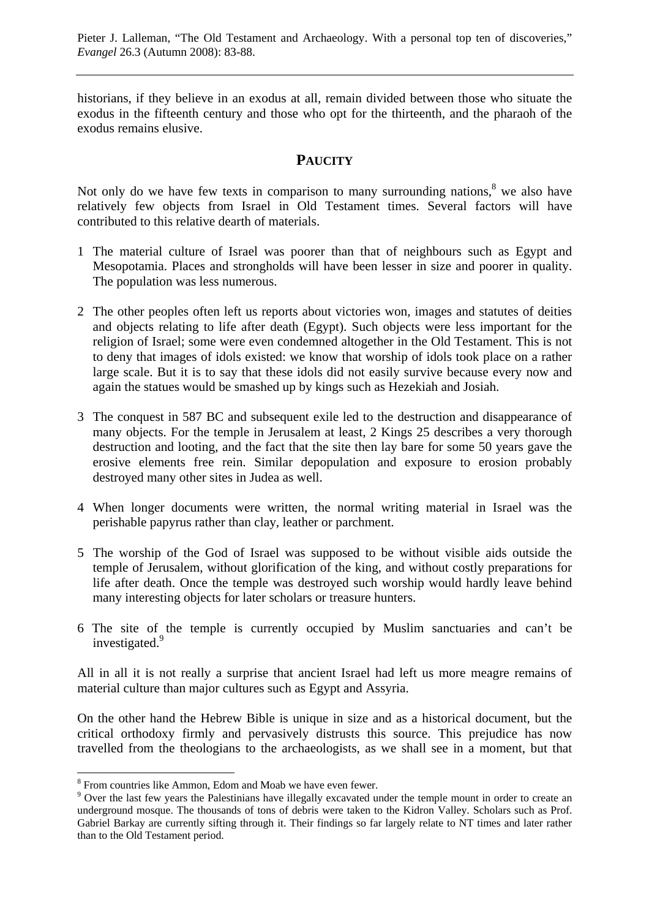historians, if they believe in an exodus at all, remain divided between those who situate the exodus in the fifteenth century and those who opt for the thirteenth, and the pharaoh of the exodus remains elusive.

# **PAUCITY**

Not only do we have few texts in comparison to many surrounding nations,  $\delta$  we also have relatively few objects from Israel in Old Testament times. Several factors will have contributed to this relative dearth of materials.

- 1 The material culture of Israel was poorer than that of neighbours such as Egypt and Mesopotamia. Places and strongholds will have been lesser in size and poorer in quality. The population was less numerous.
- 2 The other peoples often left us reports about victories won, images and statutes of deities and objects relating to life after death (Egypt). Such objects were less important for the religion of Israel; some were even condemned altogether in the Old Testament. This is not to deny that images of idols existed: we know that worship of idols took place on a rather large scale. But it is to say that these idols did not easily survive because every now and again the statues would be smashed up by kings such as Hezekiah and Josiah.
- 3 The conquest in 587 BC and subsequent exile led to the destruction and disappearance of many objects. For the temple in Jerusalem at least, 2 Kings 25 describes a very thorough destruction and looting, and the fact that the site then lay bare for some 50 years gave the erosive elements free rein. Similar depopulation and exposure to erosion probably destroyed many other sites in Judea as well.
- 4 When longer documents were written, the normal writing material in Israel was the perishable papyrus rather than clay, leather or parchment.
- 5 The worship of the God of Israel was supposed to be without visible aids outside the temple of Jerusalem, without glorification of the king, and without costly preparations for life after death. Once the temple was destroyed such worship would hardly leave behind many interesting objects for later scholars or treasure hunters.
- 6 The site of the temple is currently occupied by Muslim sanctuaries and can't be investigated.<sup>9</sup>

All in all it is not really a surprise that ancient Israel had left us more meagre remains of material culture than major cultures such as Egypt and Assyria.

On the other hand the Hebrew Bible is unique in size and as a historical document, but the critical orthodoxy firmly and pervasively distrusts this source. This prejudice has now travelled from the theologians to the archaeologists, as we shall see in a moment, but that

<sup>&</sup>lt;sup>8</sup> From countries like Ammon, Edom and Moab we have even fewer.

<sup>&</sup>lt;sup>9</sup> Over the last few years the Palestinians have illegally excavated under the temple mount in order to create an underground mosque. The thousands of tons of debris were taken to the Kidron Valley. Scholars such as Prof. Gabriel Barkay are currently sifting through it. Their findings so far largely relate to NT times and later rather than to the Old Testament period.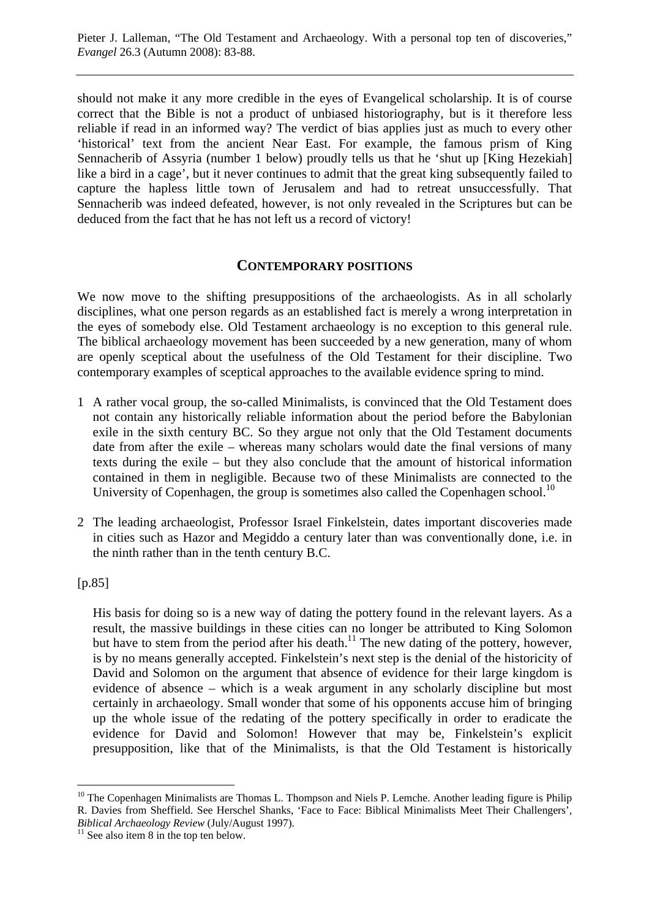should not make it any more credible in the eyes of Evangelical scholarship. It is of course correct that the Bible is not a product of unbiased historiography, but is it therefore less reliable if read in an informed way? The verdict of bias applies just as much to every other 'historical' text from the ancient Near East. For example, the famous prism of King Sennacherib of Assyria (number 1 below) proudly tells us that he 'shut up [King Hezekiah] like a bird in a cage', but it never continues to admit that the great king subsequently failed to capture the hapless little town of Jerusalem and had to retreat unsuccessfully. That Sennacherib was indeed defeated, however, is not only revealed in the Scriptures but can be deduced from the fact that he has not left us a record of victory!

## **CONTEMPORARY POSITIONS**

We now move to the shifting presuppositions of the archaeologists. As in all scholarly disciplines, what one person regards as an established fact is merely a wrong interpretation in the eyes of somebody else. Old Testament archaeology is no exception to this general rule. The biblical archaeology movement has been succeeded by a new generation, many of whom are openly sceptical about the usefulness of the Old Testament for their discipline. Two contemporary examples of sceptical approaches to the available evidence spring to mind.

- 1 A rather vocal group, the so-called Minimalists, is convinced that the Old Testament does not contain any historically reliable information about the period before the Babylonian exile in the sixth century BC. So they argue not only that the Old Testament documents date from after the exile – whereas many scholars would date the final versions of many texts during the exile – but they also conclude that the amount of historical information contained in them in negligible. Because two of these Minimalists are connected to the University of Copenhagen, the group is sometimes also called the Copenhagen school.<sup>10</sup>
- 2 The leading archaeologist, Professor Israel Finkelstein, dates important discoveries made in cities such as Hazor and Megiddo a century later than was conventionally done, i.e. in the ninth rather than in the tenth century B.C.

 $[p.85]$ 

His basis for doing so is a new way of dating the pottery found in the relevant layers. As a result, the massive buildings in these cities can no longer be attributed to King Solomon but have to stem from the period after his death.<sup>11</sup> The new dating of the pottery, however, is by no means generally accepted. Finkelstein's next step is the denial of the historicity of David and Solomon on the argument that absence of evidence for their large kingdom is evidence of absence – which is a weak argument in any scholarly discipline but most certainly in archaeology. Small wonder that some of his opponents accuse him of bringing up the whole issue of the redating of the pottery specifically in order to eradicate the evidence for David and Solomon! However that may be, Finkelstein's explicit presupposition, like that of the Minimalists, is that the Old Testament is historically

 $\overline{a}$  $10$  The Copenhagen Minimalists are Thomas L. Thompson and Niels P. Lemche. Another leading figure is Philip R. Davies from Sheffield. See Herschel Shanks, 'Face to Face: Biblical Minimalists Meet Their Challengers', *Biblical Archaeology Review* (July/August 1997).<br><sup>11</sup> See also item 8 in the top ten below.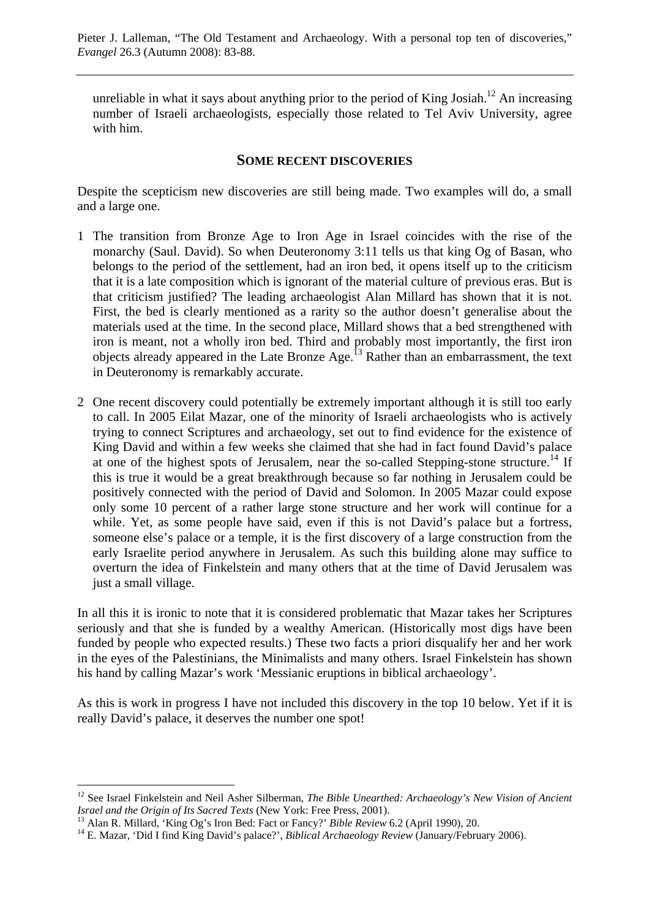unreliable in what it says about anything prior to the period of King Josiah.<sup>12</sup> An increasing number of Israeli archaeologists, especially those related to Tel Aviv University, agree with him.

#### **SOME RECENT DISCOVERIES**

Despite the scepticism new discoveries are still being made. Two examples will do, a small and a large one.

- 1 The transition from Bronze Age to Iron Age in Israel coincides with the rise of the monarchy (Saul. David). So when Deuteronomy 3:11 tells us that king Og of Basan, who belongs to the period of the settlement, had an iron bed, it opens itself up to the criticism that it is a late composition which is ignorant of the material culture of previous eras. But is that criticism justified? The leading archaeologist Alan Millard has shown that it is not. First, the bed is clearly mentioned as a rarity so the author doesn't generalise about the materials used at the time. In the second place, Millard shows that a bed strengthened with iron is meant, not a wholly iron bed. Third and probably most importantly, the first iron objects already appeared in the Late Bronze Age.13 Rather than an embarrassment, the text in Deuteronomy is remarkably accurate.
- 2 One recent discovery could potentially be extremely important although it is still too early to call. In 2005 Eilat Mazar, one of the minority of Israeli archaeologists who is actively trying to connect Scriptures and archaeology, set out to find evidence for the existence of King David and within a few weeks she claimed that she had in fact found David's palace at one of the highest spots of Jerusalem, near the so-called Stepping-stone structure.<sup>14</sup> If this is true it would be a great breakthrough because so far nothing in Jerusalem could be positively connected with the period of David and Solomon. In 2005 Mazar could expose only some 10 percent of a rather large stone structure and her work will continue for a while. Yet, as some people have said, even if this is not David's palace but a fortress, someone else's palace or a temple, it is the first discovery of a large construction from the early Israelite period anywhere in Jerusalem. As such this building alone may suffice to overturn the idea of Finkelstein and many others that at the time of David Jerusalem was just a small village.

In all this it is ironic to note that it is considered problematic that Mazar takes her Scriptures seriously and that she is funded by a wealthy American. (Historically most digs have been funded by people who expected results.) These two facts a priori disqualify her and her work in the eyes of the Palestinians, the Minimalists and many others. Israel Finkelstein has shown his hand by calling Mazar's work 'Messianic eruptions in biblical archaeology'.

As this is work in progress I have not included this discovery in the top 10 below. Yet if it is really David's palace, it deserves the number one spot!

<sup>&</sup>lt;sup>12</sup> See Israel Finkelstein and Neil Asher Silberman, *The Bible Unearthed: Archaeology's New Vision of Ancient Israel and the Origin of Its Sacred Texts* (New York: Free Press, 2001).<br><sup>13</sup> Alan R. Millard, 'King Og's Iron Bed: Fact or Fancy?' *Bible Review* 6.2 (April 1990), 20.<br><sup>14</sup> E. Mazar, 'Did I find King David's palace?', *B*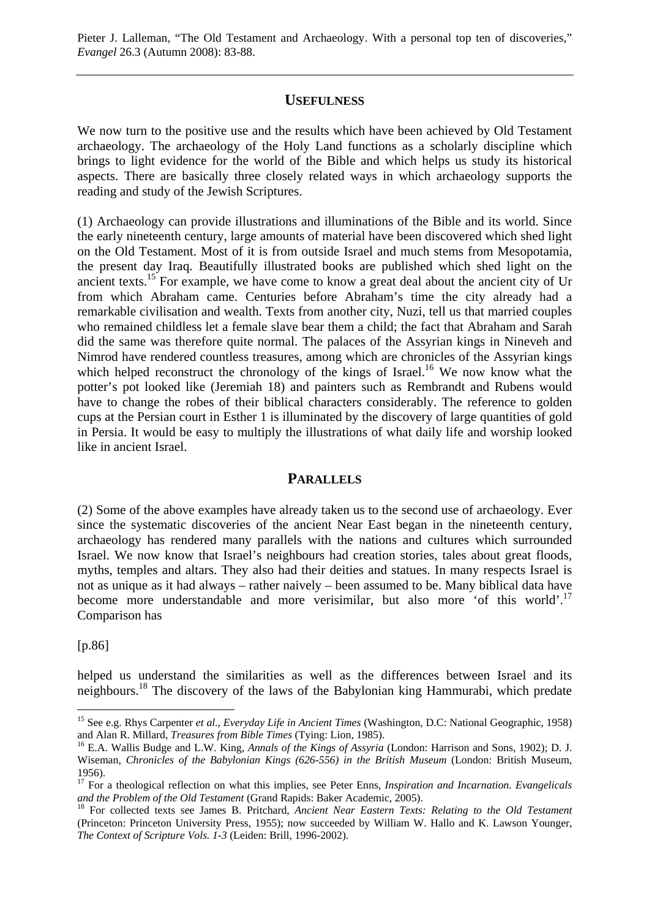#### **USEFULNESS**

We now turn to the positive use and the results which have been achieved by Old Testament archaeology. The archaeology of the Holy Land functions as a scholarly discipline which brings to light evidence for the world of the Bible and which helps us study its historical aspects. There are basically three closely related ways in which archaeology supports the reading and study of the Jewish Scriptures.

(1) Archaeology can provide illustrations and illuminations of the Bible and its world. Since the early nineteenth century, large amounts of material have been discovered which shed light on the Old Testament. Most of it is from outside Israel and much stems from Mesopotamia, the present day Iraq. Beautifully illustrated books are published which shed light on the ancient texts.15 For example, we have come to know a great deal about the ancient city of Ur from which Abraham came. Centuries before Abraham's time the city already had a remarkable civilisation and wealth. Texts from another city, Nuzi, tell us that married couples who remained childless let a female slave bear them a child; the fact that Abraham and Sarah did the same was therefore quite normal. The palaces of the Assyrian kings in Nineveh and Nimrod have rendered countless treasures, among which are chronicles of the Assyrian kings which helped reconstruct the chronology of the kings of Israel.<sup>16</sup> We now know what the potter's pot looked like (Jeremiah 18) and painters such as Rembrandt and Rubens would have to change the robes of their biblical characters considerably. The reference to golden cups at the Persian court in Esther 1 is illuminated by the discovery of large quantities of gold in Persia. It would be easy to multiply the illustrations of what daily life and worship looked like in ancient Israel.

#### **PARALLELS**

(2) Some of the above examples have already taken us to the second use of archaeology. Ever since the systematic discoveries of the ancient Near East began in the nineteenth century, archaeology has rendered many parallels with the nations and cultures which surrounded Israel. We now know that Israel's neighbours had creation stories, tales about great floods, myths, temples and altars. They also had their deities and statues. In many respects Israel is not as unique as it had always – rather naively – been assumed to be. Many biblical data have become more understandable and more verisimilar, but also more 'of this world'.<sup>17</sup> Comparison has

[p.86]

helped us understand the similarities as well as the differences between Israel and its neighbours.18 The discovery of the laws of the Babylonian king Hammurabi, which predate

<sup>15</sup> See e.g. Rhys Carpenter *et al*., *Everyday Life in Ancient Times* (Washington, D.C: National Geographic, 1958) and Alan R. Millard, *Treasures from Bible Times* (Tying: Lion, 1985).<br><sup>16</sup> E.A. Wallis Budge and L.W. King, *Annals of the Kings of Assyria* (London: Harrison and Sons, 1902); D. J.

Wiseman, *Chronicles of the Babylonian Kings (626-556) in the British Museum* (London: British Museum, 1956).

<sup>&</sup>lt;sup>17</sup> For a theological reflection on what this implies, see Peter Enns, *Inspiration and Incarnation. Evangelicals and the Problem of the Old Testament* (Grand Rapids: Baker Academic, 2005).

<sup>&</sup>lt;sup>18</sup> For collected texts see James B. Pritchard, *Ancient Near Eastern Texts: Relating to the Old Testament* (Princeton: Princeton University Press, 1955); now succeeded by William W. Hallo and K. Lawson Younger, *The Context of Scripture Vols. 1-3* (Leiden: Brill, 1996-2002).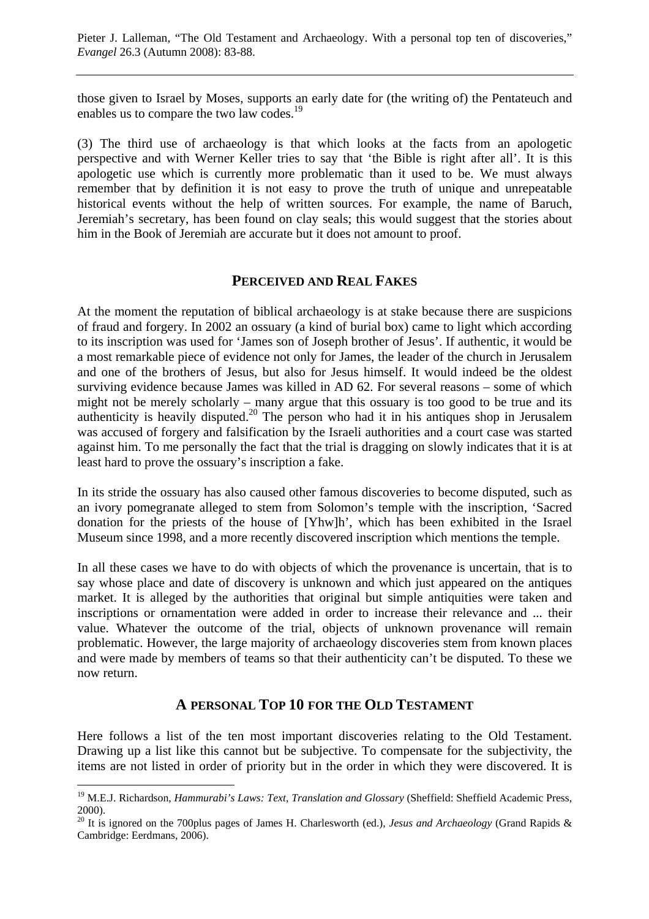those given to Israel by Moses, supports an early date for (the writing of) the Pentateuch and enables us to compare the two law codes.<sup>19</sup>

(3) The third use of archaeology is that which looks at the facts from an apologetic perspective and with Werner Keller tries to say that 'the Bible is right after all'. It is this apologetic use which is currently more problematic than it used to be. We must always remember that by definition it is not easy to prove the truth of unique and unrepeatable historical events without the help of written sources. For example, the name of Baruch, Jeremiah's secretary, has been found on clay seals; this would suggest that the stories about him in the Book of Jeremiah are accurate but it does not amount to proof.

# **PERCEIVED AND REAL FAKES**

At the moment the reputation of biblical archaeology is at stake because there are suspicions of fraud and forgery. In 2002 an ossuary (a kind of burial box) came to light which according to its inscription was used for 'James son of Joseph brother of Jesus'. If authentic, it would be a most remarkable piece of evidence not only for James, the leader of the church in Jerusalem and one of the brothers of Jesus, but also for Jesus himself. It would indeed be the oldest surviving evidence because James was killed in AD 62. For several reasons – some of which might not be merely scholarly – many argue that this ossuary is too good to be true and its authenticity is heavily disputed.<sup>20</sup> The person who had it in his antiques shop in Jerusalem was accused of forgery and falsification by the Israeli authorities and a court case was started against him. To me personally the fact that the trial is dragging on slowly indicates that it is at least hard to prove the ossuary's inscription a fake.

In its stride the ossuary has also caused other famous discoveries to become disputed, such as an ivory pomegranate alleged to stem from Solomon's temple with the inscription, 'Sacred donation for the priests of the house of [Yhw]h', which has been exhibited in the Israel Museum since 1998, and a more recently discovered inscription which mentions the temple.

In all these cases we have to do with objects of which the provenance is uncertain, that is to say whose place and date of discovery is unknown and which just appeared on the antiques market. It is alleged by the authorities that original but simple antiquities were taken and inscriptions or ornamentation were added in order to increase their relevance and ... their value. Whatever the outcome of the trial, objects of unknown provenance will remain problematic. However, the large majority of archaeology discoveries stem from known places and were made by members of teams so that their authenticity can't be disputed. To these we now return.

## **A PERSONAL TOP 10 FOR THE OLD TESTAMENT**

Here follows a list of the ten most important discoveries relating to the Old Testament. Drawing up a list like this cannot but be subjective. To compensate for the subjectivity, the items are not listed in order of priority but in the order in which they were discovered. It is

<sup>&</sup>lt;sup>19</sup> M.E.J. Richardson, *Hammurabi's Laws: Text, Translation and Glossary* (Sheffield: Sheffield Academic Press, 2000).

<sup>&</sup>lt;sup>20</sup> It is ignored on the 700plus pages of James H. Charlesworth (ed.), *Jesus and Archaeology* (Grand Rapids & Cambridge: Eerdmans, 2006).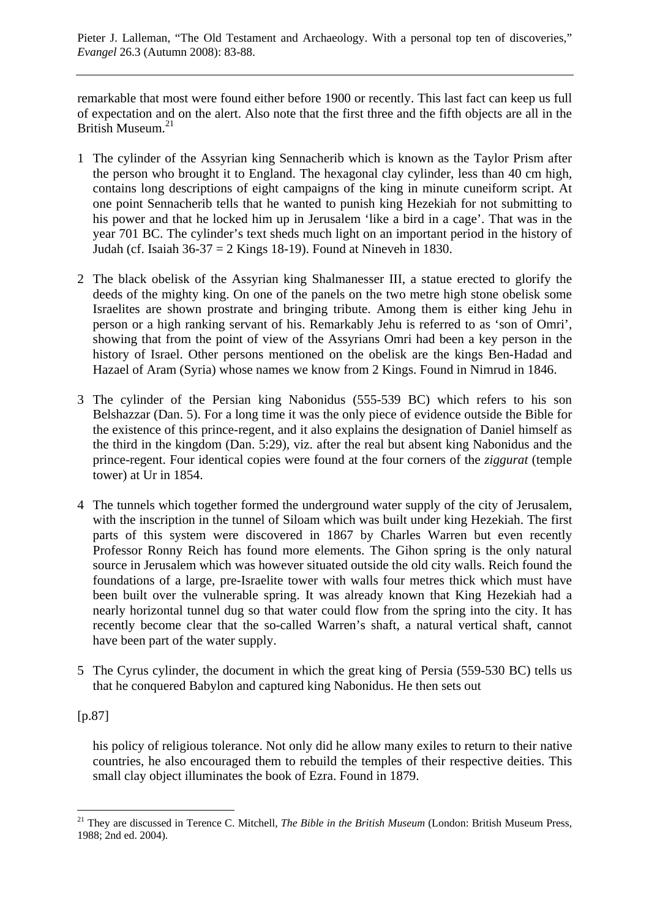remarkable that most were found either before 1900 or recently. This last fact can keep us full of expectation and on the alert. Also note that the first three and the fifth objects are all in the British Museum.<sup>21</sup>

- 1 The cylinder of the Assyrian king Sennacherib which is known as the Taylor Prism after the person who brought it to England. The hexagonal clay cylinder, less than 40 cm high, contains long descriptions of eight campaigns of the king in minute cuneiform script. At one point Sennacherib tells that he wanted to punish king Hezekiah for not submitting to his power and that he locked him up in Jerusalem 'like a bird in a cage'. That was in the year 701 BC. The cylinder's text sheds much light on an important period in the history of Judah (cf. Isaiah 36-37 = 2 Kings 18-19). Found at Nineveh in 1830.
- 2 The black obelisk of the Assyrian king Shalmanesser III, a statue erected to glorify the deeds of the mighty king. On one of the panels on the two metre high stone obelisk some Israelites are shown prostrate and bringing tribute. Among them is either king Jehu in person or a high ranking servant of his. Remarkably Jehu is referred to as 'son of Omri', showing that from the point of view of the Assyrians Omri had been a key person in the history of Israel. Other persons mentioned on the obelisk are the kings Ben-Hadad and Hazael of Aram (Syria) whose names we know from 2 Kings. Found in Nimrud in 1846.
- 3 The cylinder of the Persian king Nabonidus (555-539 BC) which refers to his son Belshazzar (Dan. 5). For a long time it was the only piece of evidence outside the Bible for the existence of this prince-regent, and it also explains the designation of Daniel himself as the third in the kingdom (Dan. 5:29), viz. after the real but absent king Nabonidus and the prince-regent. Four identical copies were found at the four corners of the *ziggurat* (temple tower) at Ur in 1854.
- 4 The tunnels which together formed the underground water supply of the city of Jerusalem, with the inscription in the tunnel of Siloam which was built under king Hezekiah. The first parts of this system were discovered in 1867 by Charles Warren but even recently Professor Ronny Reich has found more elements. The Gihon spring is the only natural source in Jerusalem which was however situated outside the old city walls. Reich found the foundations of a large, pre-Israelite tower with walls four metres thick which must have been built over the vulnerable spring. It was already known that King Hezekiah had a nearly horizontal tunnel dug so that water could flow from the spring into the city. It has recently become clear that the so-called Warren's shaft, a natural vertical shaft, cannot have been part of the water supply.
- 5 The Cyrus cylinder, the document in which the great king of Persia (559-530 BC) tells us that he conquered Babylon and captured king Nabonidus. He then sets out

# [p.87]

his policy of religious tolerance. Not only did he allow many exiles to return to their native countries, he also encouraged them to rebuild the temples of their respective deities. This small clay object illuminates the book of Ezra. Found in 1879.

 $\overline{a}$ <sup>21</sup> They are discussed in Terence C. Mitchell, *The Bible in the British Museum* (London: British Museum Press, 1988; 2nd ed. 2004).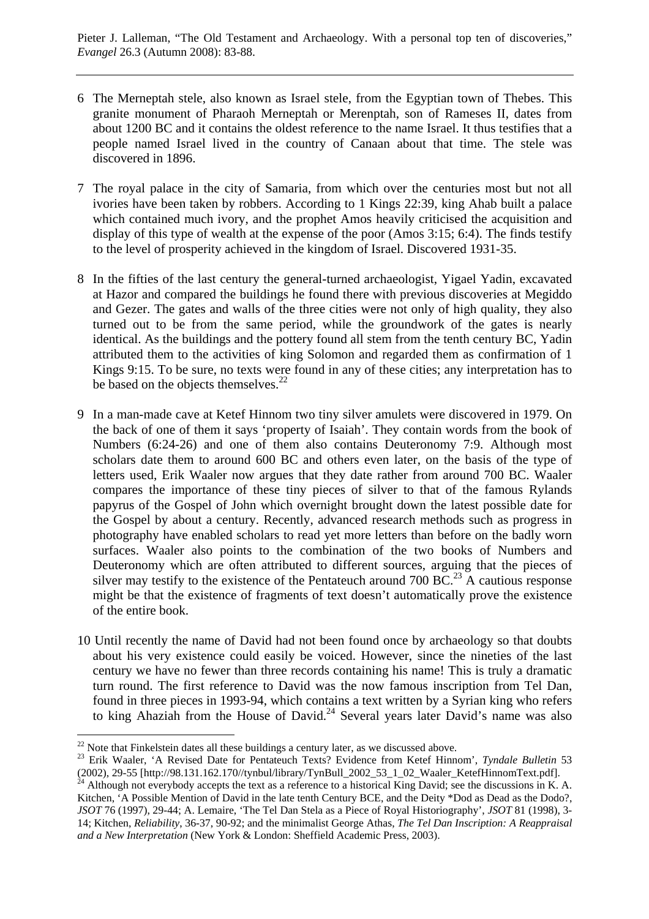- 6 The Merneptah stele, also known as Israel stele, from the Egyptian town of Thebes. This granite monument of Pharaoh Merneptah or Merenptah, son of Rameses II, dates from about 1200 BC and it contains the oldest reference to the name Israel. It thus testifies that a people named Israel lived in the country of Canaan about that time. The stele was discovered in 1896.
- 7 The royal palace in the city of Samaria, from which over the centuries most but not all ivories have been taken by robbers. According to 1 Kings 22:39, king Ahab built a palace which contained much ivory, and the prophet Amos heavily criticised the acquisition and display of this type of wealth at the expense of the poor (Amos 3:15; 6:4). The finds testify to the level of prosperity achieved in the kingdom of Israel. Discovered 1931-35.
- 8 In the fifties of the last century the general-turned archaeologist, Yigael Yadin, excavated at Hazor and compared the buildings he found there with previous discoveries at Megiddo and Gezer. The gates and walls of the three cities were not only of high quality, they also turned out to be from the same period, while the groundwork of the gates is nearly identical. As the buildings and the pottery found all stem from the tenth century BC, Yadin attributed them to the activities of king Solomon and regarded them as confirmation of 1 Kings 9:15. To be sure, no texts were found in any of these cities; any interpretation has to be based on the objects themselves. $^{22}$
- 9 In a man-made cave at Ketef Hinnom two tiny silver amulets were discovered in 1979. On the back of one of them it says 'property of Isaiah'. They contain words from the book of Numbers (6:24-26) and one of them also contains Deuteronomy 7:9. Although most scholars date them to around 600 BC and others even later, on the basis of the type of letters used, Erik Waaler now argues that they date rather from around 700 BC. Waaler compares the importance of these tiny pieces of silver to that of the famous Rylands papyrus of the Gospel of John which overnight brought down the latest possible date for the Gospel by about a century. Recently, advanced research methods such as progress in photography have enabled scholars to read yet more letters than before on the badly worn surfaces. Waaler also points to the combination of the two books of Numbers and Deuteronomy which are often attributed to different sources, arguing that the pieces of silver may testify to the existence of the Pentateuch around 700 BC.<sup>23</sup> A cautious response might be that the existence of fragments of text doesn't automatically prove the existence of the entire book.
- 10 Until recently the name of David had not been found once by archaeology so that doubts about his very existence could easily be voiced. However, since the nineties of the last century we have no fewer than three records containing his name! This is truly a dramatic turn round. The first reference to David was the now famous inscription from Tel Dan, found in three pieces in 1993-94, which contains a text written by a Syrian king who refers to king Ahaziah from the House of David.<sup>24</sup> Several years later David's name was also

<sup>&</sup>lt;sup>22</sup> Note that Finkelstein dates all these buildings a century later, as we discussed above.<br><sup>23</sup> Erik Waaler, 'A Revised Date for Pentateuch Texts? Evidence from Ketef Hinnom', *Tyndale Bulletin* 53 (2002), 29-55 [[http://98.131.162.170//tynbul/library/TynBull\\_2002\\_53\\_1\\_02\\_Waaler\\_KetefHinnomText.pdf\].](http://98.131.162.170//tynbul/library/TynBull_2002_53_1_02_Waaler_KetefHinnomText.pdf]) 24 Although not everybody accepts the text as a reference to a historical King David; see the discussions in K. A.

Kitchen, 'A Possible Mention of David in the late tenth Century BCE, and the Deity \*Dod as Dead as the Dodo?, *JSOT* 76 (1997), 29-44; A. Lemaire, 'The Tel Dan Stela as a Piece of Royal Historiography', *JSOT* 81 (1998), 3- 14; Kitchen, *Reliability*, 36-37, 90-92; and the minimalist George Athas, *The Tel Dan Inscription: A Reappraisal and a New Interpretation* (New York & London: Sheffield Academic Press, 2003).